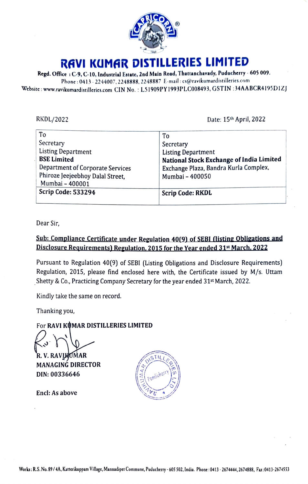

## RAVI KUMAR DISTILLERIES LIMITED RAVI KUMAR DISTILLERIES LIMITED

| RAVI KUMAR DISTILLERIES LIMITED                                                                                                                                                                                                                                                 |                                                                       |
|---------------------------------------------------------------------------------------------------------------------------------------------------------------------------------------------------------------------------------------------------------------------------------|-----------------------------------------------------------------------|
| Regd. Office: C-9, C-10, Industrial Estate, 2nd Main Road, Thattanchavady, Puducherry - 605 009.<br>Phone: 0413 - 2244007, 2248888, 2248887 E-mail: cs@ravikumardistilleries.com<br>ite : www.ravikumardistilleries.com CIN No. : L51909PY1993PLC008493, GSTIN :34AABCR4195D1ZJ |                                                                       |
|                                                                                                                                                                                                                                                                                 |                                                                       |
| RKDL/2022<br>To                                                                                                                                                                                                                                                                 | Date: 15th April, 2022<br>To                                          |
| Secretary                                                                                                                                                                                                                                                                       | Secretary                                                             |
| <b>Listing Department</b><br><b>BSE Limited</b>                                                                                                                                                                                                                                 | <b>Listing Department</b><br>National Stock Exchange of India Limited |
| Department of Corporate Services<br>Phiroze Jeejeebhoy Dalal Street,<br>Mumbai - 400001                                                                                                                                                                                         | Exchange Plaza, Bandra Kurla Complex,<br>Mumbai - 400050              |
| <b>Scrip Code: 533294</b>                                                                                                                                                                                                                                                       | <b>Scrip Code: RKDL</b>                                               |

 $\overline{\phantom{a}}$ 

Dear Sir, Dear Sir,

### Sub: Compliance Certificate under Regulation 40(9) of SEBI (listing Obligations Disclosure Requirements) Regulation, 2015 for the Year ended 31st March. 2022 Sub: Compliance Certificate under Regulation 40(9) of SEBI (listing Obligations and

Pursuant to Regulation 40(9) of SEBI (Listing Obligations and Disclosure Requirements) Pursuant to Regulation 40(9) of SEBI (Listing Obligations and Disclosure Requirements) Regulation, 2015, please find enclosed here with, the Certificate issued by M/s. Utam Regulation, 2015, please find enclosed here with, the Certificate issued by M/s. Uttam Shetty & Co., Practicing Company Secretary for the year ended 31<sup>st</sup> March, 2022.

Kindly take the same on record. Kindly take the sameon record.

Thanking you, Thanking you,

For RAVI KUMAR DISTILLERIES LIMITED<br>
(3 A V. RAVIKUMAR<br>
MANAGING DIRECTOR R. V. RAVIMOMAR

MANAGING DIRECTOR  $\begin{pmatrix} \infty \\ \infty \\ \infty \end{pmatrix}$  in  $\begin{pmatrix} 0 \\ 0 \end{pmatrix}$ DIN: 00336646 DIN: 00336646<br>Encl: As above<br>S. No. 89 / 4A, Katterikuppam Vil